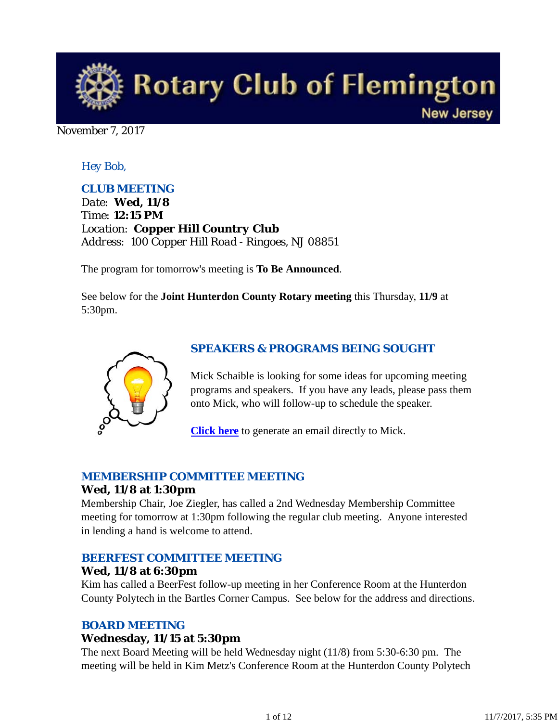

November 7, 2017

## *Hey Bob,*

## *CLUB MEETING*

*Date: Wed, 11/8 Time: 12:15 PM Location: Copper Hill Country Club Address: 100 Copper Hill Road - Ringoes, NJ 08851*

The program for tomorrow's meeting is **To Be Announced**.

See below for the **Joint Hunterdon County Rotary meeting** this Thursday, **11/9** at 5:30pm.



### *SPEAKERS & PROGRAMS BEING SOUGHT*

Mick Schaible is looking for some ideas for upcoming meeting programs and speakers. If you have any leads, please pass them onto Mick, who will follow-up to schedule the speaker.

**Click here** to generate an email directly to Mick.

### *MEMBERSHIP COMMITTEE MEETING*

### **Wed, 11/8 at 1:30pm**

Membership Chair, Joe Ziegler, has called a 2nd Wednesday Membership Committee meeting for tomorrow at 1:30pm following the regular club meeting. Anyone interested in lending a hand is welcome to attend.

### *BEERFEST COMMITTEE MEETING*

#### **Wed, 11/8 at 6:30pm**

Kim has called a BeerFest follow-up meeting in her Conference Room at the Hunterdon County Polytech in the Bartles Corner Campus. See below for the address and directions.

### *BOARD MEETING*

### **Wednesday, 11/15 at 5:30pm**

The next Board Meeting will be held Wednesday night (11/8) from 5:30-6:30 pm. The meeting will be held in Kim Metz's Conference Room at the Hunterdon County Polytech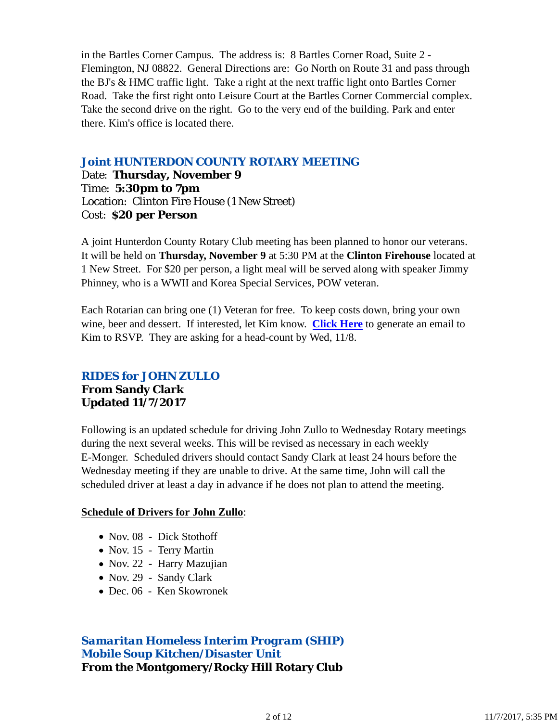in the Bartles Corner Campus. The address is: 8 Bartles Corner Road, Suite 2 - Flemington, NJ 08822. General Directions are: Go North on Route 31 and pass through the BJ's & HMC traffic light. Take a right at the next traffic light onto Bartles Corner Road. Take the first right onto Leisure Court at the Bartles Corner Commercial complex. Take the second drive on the right. Go to the very end of the building. Park and enter there. Kim's office is located there.

## *Joint HUNTERDON COUNTY ROTARY MEETING*

Date: **Thursday, November 9** Time: **5:30pm to 7pm** Location: Clinton Fire House (1 New Street) Cost: **\$20 per Person**

A joint Hunterdon County Rotary Club meeting has been planned to honor our veterans. It will be held on **Thursday, November 9** at 5:30 PM at the **Clinton Firehouse** located at 1 New Street. For \$20 per person, a light meal will be served along with speaker Jimmy Phinney, who is a WWII and Korea Special Services, POW veteran.

Each Rotarian can bring one (1) Veteran for free. To keep costs down, bring your own wine, beer and dessert. If interested, let Kim know. **Click Here** to generate an email to Kim to RSVP. They are asking for a head-count by Wed, 11/8.

## *RIDES for JOHN ZULLO* **From Sandy Clark Updated 11/7/2017**

Following is an updated schedule for driving John Zullo to Wednesday Rotary meetings during the next several weeks. This will be revised as necessary in each weekly E-Monger. Scheduled drivers should contact Sandy Clark at least 24 hours before the Wednesday meeting if they are unable to drive. At the same time, John will call the scheduled driver at least a day in advance if he does not plan to attend the meeting.

#### **Schedule of Drivers for John Zullo**:

- Nov. 08 Dick Stothoff
- Nov. 15 Terry Martin
- Nov. 22 Harry Mazujian
- Nov. 29 Sandy Clark
- Dec. 06 Ken Skowronek

*Samaritan Homeless Interim Program (SHIP) Mobile Soup Kitchen/Disaster Unit* **From the Montgomery/Rocky Hill Rotary Club**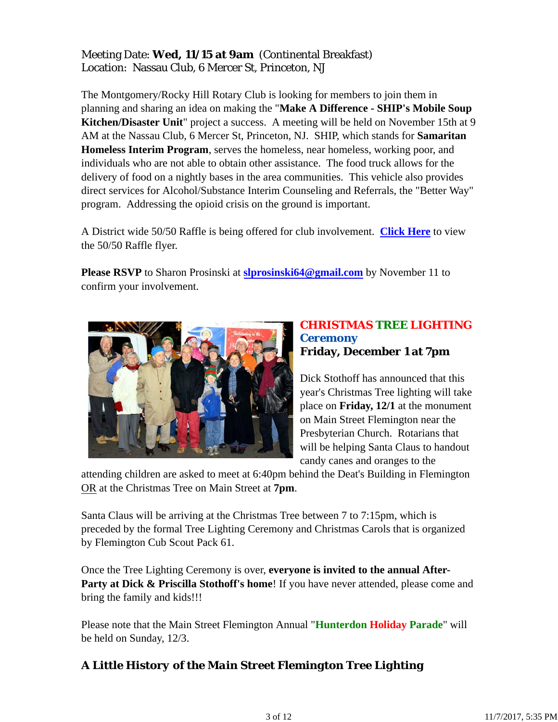## Meeting Date: **Wed, 11/15 at 9am** (Continental Breakfast) Location: Nassau Club, 6 Mercer St, Princeton, NJ

The Montgomery/Rocky Hill Rotary Club is looking for members to join them in planning and sharing an idea on making the "**Make A Difference - SHIP's Mobile Soup Kitchen/Disaster Unit**" project a success. A meeting will be held on November 15th at 9 AM at the Nassau Club, 6 Mercer St, Princeton, NJ. SHIP, which stands for **Samaritan Homeless Interim Program**, serves the homeless, near homeless, working poor, and individuals who are not able to obtain other assistance. The food truck allows for the delivery of food on a nightly bases in the area communities. This vehicle also provides direct services for Alcohol/Substance Interim Counseling and Referrals, the "Better Way" program. Addressing the opioid crisis on the ground is important.

A District wide 50/50 Raffle is being offered for club involvement. **Click Here** to view the 50/50 Raffle flyer.

**Please RSVP** to Sharon Prosinski at **slprosinski64@gmail.com** by November 11 to confirm your involvement.



## *CHRISTMAS TREE LIGHTING Ceremony* **Friday, December 1 at 7pm**

Dick Stothoff has announced that this year's Christmas Tree lighting will take place on **Friday, 12/1** at the monument on Main Street Flemington near the Presbyterian Church. Rotarians that will be helping Santa Claus to handout candy canes and oranges to the

attending children are asked to meet at 6:40pm behind the Deat's Building in Flemington OR at the Christmas Tree on Main Street at **7pm**.

Santa Claus will be arriving at the Christmas Tree between 7 to 7:15pm, which is preceded by the formal Tree Lighting Ceremony and Christmas Carols that is organized by Flemington Cub Scout Pack 61.

Once the Tree Lighting Ceremony is over, **everyone is invited to the annual After-Party at Dick & Priscilla Stothoff's home!** If you have never attended, please come and bring the family and kids!!!

Please note that the Main Street Flemington Annual "**Hunterdon Holiday Parade**" will be held on Sunday, 12/3.

# *A Little History of the Main Street Flemington Tree Lighting*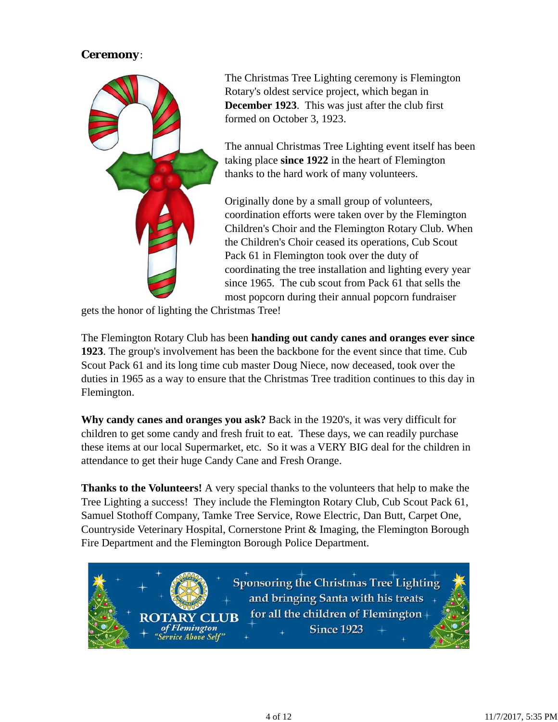## *Ceremony*:



The Christmas Tree Lighting ceremony is Flemington Rotary's oldest service project, which began in **December 1923**. This was just after the club first formed on October 3, 1923.

The annual Christmas Tree Lighting event itself has been taking place **since 1922** in the heart of Flemington thanks to the hard work of many volunteers.

Originally done by a small group of volunteers, coordination efforts were taken over by the Flemington Children's Choir and the Flemington Rotary Club. When the Children's Choir ceased its operations, Cub Scout Pack 61 in Flemington took over the duty of coordinating the tree installation and lighting every year since 1965. The cub scout from Pack 61 that sells the most popcorn during their annual popcorn fundraiser

gets the honor of lighting the Christmas Tree!

ARY

The Flemington Rotary Club has been **handing out candy canes and oranges ever since 1923**. The group's involvement has been the backbone for the event since that time. Cub Scout Pack 61 and its long time cub master Doug Niece, now deceased, took over the duties in 1965 as a way to ensure that the Christmas Tree tradition continues to this day in Flemington.

**Why candy canes and oranges you ask?** Back in the 1920's, it was very difficult for children to get some candy and fresh fruit to eat. These days, we can readily purchase these items at our local Supermarket, etc. So it was a VERY BIG deal for the children in attendance to get their huge Candy Cane and Fresh Orange.

**Thanks to the Volunteers!** A very special thanks to the volunteers that help to make the Tree Lighting a success! They include the Flemington Rotary Club, Cub Scout Pack 61, Samuel Stothoff Company, Tamke Tree Service, Rowe Electric, Dan Butt, Carpet One, Countryside Veterinary Hospital, Cornerstone Print & Imaging, the Flemington Borough Fire Department and the Flemington Borough Police Department.

> **Sponsoring the Christmas Tree Lighting** and bringing Santa with his treats for all the children of Flemingtonof Flemington **Since 1923** 'Service Above Self"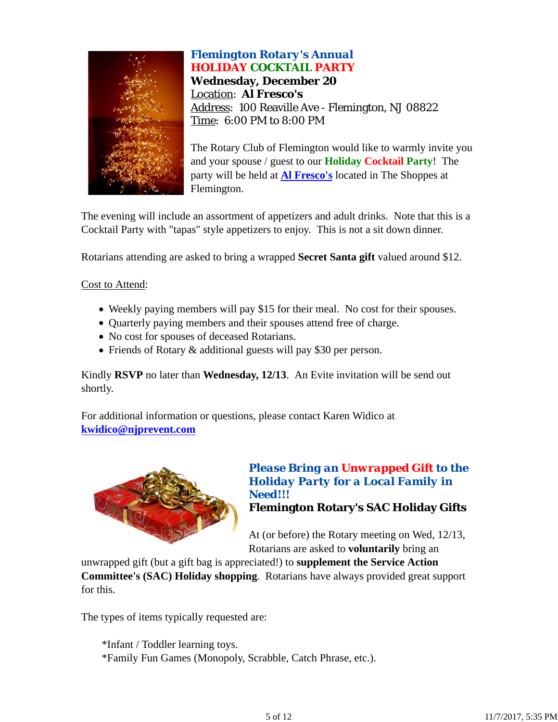

# *Flemington Rotary's Annual HOLIDAY COCKTAIL PARTY* **Wednesday, December 20** Location: **Al Fresco's** Address: 100 Reaville Ave - Flemington, NJ 08822 Time: 6:00 PM to 8:00 PM

The Rotary Club of Flemington would like to warmly invite you and your spouse / guest to our **Holiday Cocktail Party**! The party will be held at **Al Fresco's** located in The Shoppes at Flemington.

The evening will include an assortment of appetizers and adult drinks. Note that this is a Cocktail Party with "tapas" style appetizers to enjoy. This is not a sit down dinner.

Rotarians attending are asked to bring a wrapped **Secret Santa gift** valued around \$12.

Cost to Attend:

- Weekly paying members will pay \$15 for their meal. No cost for their spouses.
- Quarterly paying members and their spouses attend free of charge.
- No cost for spouses of deceased Rotarians.
- Friends of Rotary & additional guests will pay \$30 per person.

Kindly **RSVP** no later than **Wednesday, 12/13**. An Evite invitation will be send out shortly.

For additional information or questions, please contact Karen Widico at **kwidico@njprevent.com**



## *Please Bring an Unwrapped Gift to the Holiday Party for a Local Family in Need!!!* **Flemington Rotary's SAC Holiday Gifts**

At (or before) the Rotary meeting on Wed, 12/13, Rotarians are asked to **voluntarily** bring an

unwrapped gift (but a gift bag is appreciated!) to **supplement the Service Action Committee's (SAC) Holiday shopping**. Rotarians have always provided great support for this.

The types of items typically requested are:

\*Infant / Toddler learning toys. \*Family Fun Games (Monopoly, Scrabble, Catch Phrase, etc.).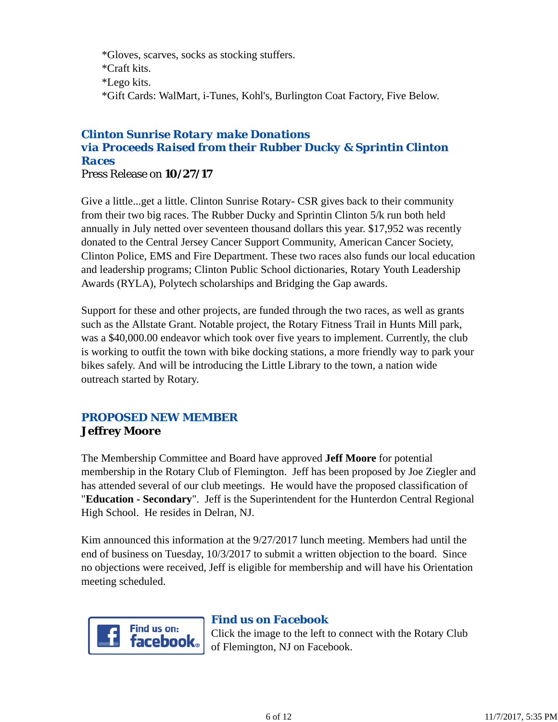\*Gloves, scarves, socks as stocking stuffers. \*Craft kits. \*Lego kits. \*Gift Cards: WalMart, i-Tunes, Kohl's, Burlington Coat Factory, Five Below.

# *Clinton Sunrise Rotary make Donations via Proceeds Raised from their Rubber Ducky & Sprintin Clinton Races*

Press Release on **10/27/17**

Give a little...get a little. Clinton Sunrise Rotary- CSR gives back to their community from their two big races. The Rubber Ducky and Sprintin Clinton 5/k run both held annually in July netted over seventeen thousand dollars this year. \$17,952 was recently donated to the Central Jersey Cancer Support Community, American Cancer Society, Clinton Police, EMS and Fire Department. These two races also funds our local education and leadership programs; Clinton Public School dictionaries, Rotary Youth Leadership Awards (RYLA), Polytech scholarships and Bridging the Gap awards.

Support for these and other projects, are funded through the two races, as well as grants such as the Allstate Grant. Notable project, the Rotary Fitness Trail in Hunts Mill park, was a \$40,000.00 endeavor which took over five years to implement. Currently, the club is working to outfit the town with bike docking stations, a more friendly way to park your bikes safely. And will be introducing the Little Library to the town, a nation wide outreach started by Rotary.

## *PROPOSED NEW MEMBER* **Jeffrey Moore**

The Membership Committee and Board have approved **Jeff Moore** for potential membership in the Rotary Club of Flemington. Jeff has been proposed by Joe Ziegler and has attended several of our club meetings. He would have the proposed classification of "**Education - Secondary**". Jeff is the Superintendent for the Hunterdon Central Regional High School. He resides in Delran, NJ.

Kim announced this information at the 9/27/2017 lunch meeting. Members had until the end of business on Tuesday, 10/3/2017 to submit a written objection to the board. Since no objections were received, Jeff is eligible for membership and will have his Orientation meeting scheduled.



### *Find us on Facebook*

Click the image to the left to connect with the Rotary Club of Flemington, NJ on Facebook.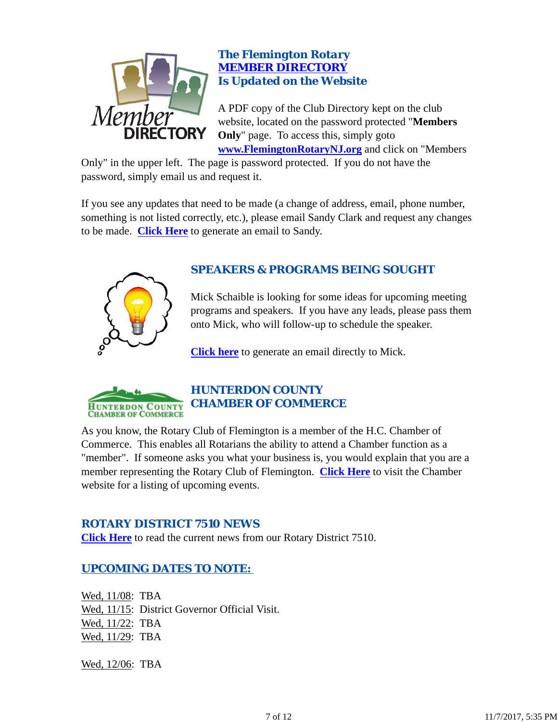

## *The Flemington Rotary MEMBER DIRECTORY Is Updated on the Website*

A PDF copy of the Club Directory kept on the club website, located on the password protected "**Members Only**" page. To access this, simply goto **www.FlemingtonRotaryNJ.org** and click on "Members

Only" in the upper left. The page is password protected. If you do not have the password, simply email us and request it.

If you see any updates that need to be made (a change of address, email, phone number, something is not listed correctly, etc.), please email Sandy Clark and request any changes to be made. **Click Here** to generate an email to Sandy.



# *SPEAKERS & PROGRAMS BEING SOUGHT*

Mick Schaible is looking for some ideas for upcoming meeting programs and speakers. If you have any leads, please pass them onto Mick, who will follow-up to schedule the speaker.

**Click here** to generate an email directly to Mick.



# *HUNTERDON COUNTY CHAMBER OF COMMERCE*

As you know, the Rotary Club of Flemington is a member of the H.C. Chamber of Commerce. This enables all Rotarians the ability to attend a Chamber function as a "member". If someone asks you what your business is, you would explain that you are a member representing the Rotary Club of Flemington. **Click Here** to visit the Chamber website for a listing of upcoming events.

## *ROTARY DISTRICT 7510 NEWS*

**Click Here** to read the current news from our Rotary District 7510.

# *UPCOMING DATES TO NOTE:*

Wed, 11/08: TBA Wed, 11/15: District Governor Official Visit. Wed, 11/22: TBA Wed, 11/29: TBA

Wed, 12/06: TBA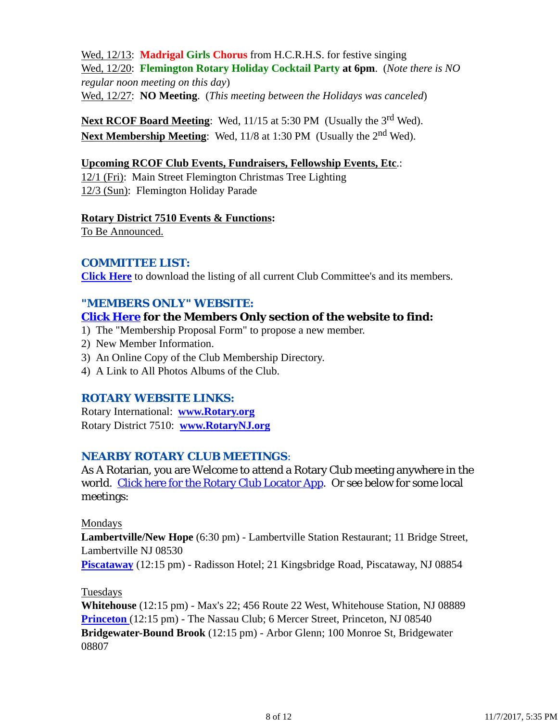Wed, 12/13: **Madrigal Girls Chorus** from H.C.R.H.S. for festive singing Wed, 12/20: **Flemington Rotary Holiday Cocktail Party at 6pm**. (*Note there is NO regular noon meeting on this day*) Wed, 12/27: **NO Meeting**. (*This meeting between the Holidays was canceled*)

**Next RCOF Board Meeting:** Wed, 11/15 at 5:30 PM (Usually the 3<sup>rd</sup> Wed). **Next Membership Meeting:** Wed, 11/8 at 1:30 PM (Usually the 2<sup>nd</sup> Wed).

### **Upcoming RCOF Club Events, Fundraisers, Fellowship Events, Etc**.:

12/1 (Fri): Main Street Flemington Christmas Tree Lighting 12/3 (Sun): Flemington Holiday Parade

#### **Rotary District 7510 Events & Functions:**

To Be Announced.

## *COMMITTEE LIST:*

**Click Here** to download the listing of all current Club Committee's and its members.

## *"MEMBERS ONLY" WEBSITE:*

## **Click Here for the Members Only section of the website to find:**

- 1) The "Membership Proposal Form" to propose a new member.
- 2) New Member Information.
- 3) An Online Copy of the Club Membership Directory.
- 4) A Link to All Photos Albums of the Club.

## *ROTARY WEBSITE LINKS:*

Rotary International: **www.Rotary.org** Rotary District 7510: **www.RotaryNJ.org**

## *NEARBY ROTARY CLUB MEETINGS:*

As A Rotarian, you are Welcome to attend a Rotary Club meeting anywhere in the world. Click here for the Rotary Club Locator App. Or see below for some local meetings:

### Mondays

**Lambertville/New Hope** (6:30 pm) - Lambertville Station Restaurant; 11 Bridge Street, Lambertville NJ 08530

**Piscataway** (12:15 pm) - Radisson Hotel; 21 Kingsbridge Road, Piscataway, NJ 08854

### Tuesdays

**Whitehouse** (12:15 pm) - Max's 22; 456 Route 22 West, Whitehouse Station, NJ 08889 **Princeton** (12:15 pm) - The Nassau Club; 6 Mercer Street, Princeton, NJ 08540 **Bridgewater-Bound Brook** (12:15 pm) - Arbor Glenn; 100 Monroe St, Bridgewater 08807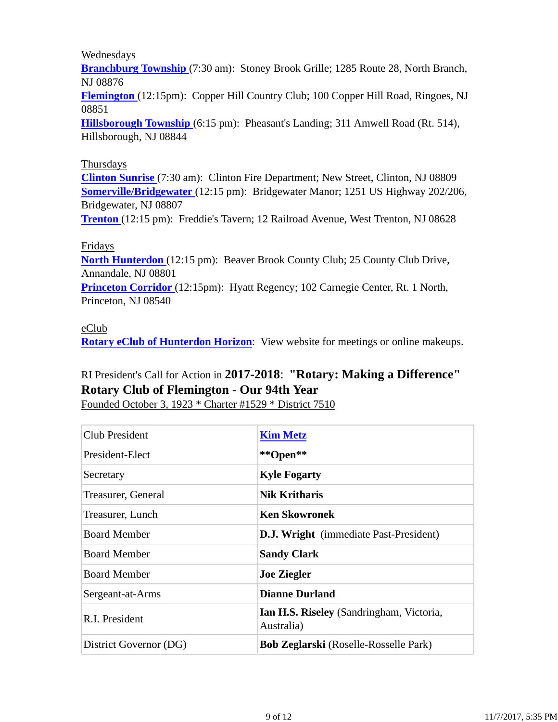### Wednesdays

**Branchburg Township** (7:30 am): Stoney Brook Grille; 1285 Route 28, North Branch, NJ 08876

**Flemington** (12:15pm): Copper Hill Country Club; 100 Copper Hill Road, Ringoes, NJ 08851

**Hillsborough Township** (6:15 pm): Pheasant's Landing; 311 Amwell Road (Rt. 514), Hillsborough, NJ 08844

### Thursdays

**Clinton Sunrise** (7:30 am): Clinton Fire Department; New Street, Clinton, NJ 08809 **Somerville/Bridgewater** (12:15 pm): Bridgewater Manor; 1251 US Highway 202/206, Bridgewater, NJ 08807

**Trenton** (12:15 pm): Freddie's Tavern; 12 Railroad Avenue, West Trenton, NJ 08628

#### Fridays

**North Hunterdon** (12:15 pm): Beaver Brook County Club; 25 County Club Drive, Annandale, NJ 08801

**Princeton Corridor** (12:15pm): Hyatt Regency; 102 Carnegie Center, Rt. 1 North, Princeton, NJ 08540

#### eClub

**Rotary eClub of Hunterdon Horizon**: View website for meetings or online makeups.

# RI President's Call for Action in **2017-2018**: **"Rotary: Making a Difference" Rotary Club of Flemington - Our 94th Year**

Founded October 3, 1923 \* Charter #1529 \* District 7510

| Club President         | <b>Kim Metz</b>                                        |
|------------------------|--------------------------------------------------------|
| President-Elect        | **Open**                                               |
| Secretary              | <b>Kyle Fogarty</b>                                    |
| Treasurer, General     | <b>Nik Kritharis</b>                                   |
| Treasurer, Lunch       | <b>Ken Skowronek</b>                                   |
| <b>Board Member</b>    | <b>D.J. Wright</b> (immediate Past-President)          |
| <b>Board Member</b>    | <b>Sandy Clark</b>                                     |
| <b>Board Member</b>    | <b>Joe Ziegler</b>                                     |
| Sergeant-at-Arms       | <b>Dianne Durland</b>                                  |
| R.I. President         | Ian H.S. Riseley (Sandringham, Victoria,<br>Australia) |
| District Governor (DG) | <b>Bob Zeglarski</b> (Roselle-Rosselle Park)           |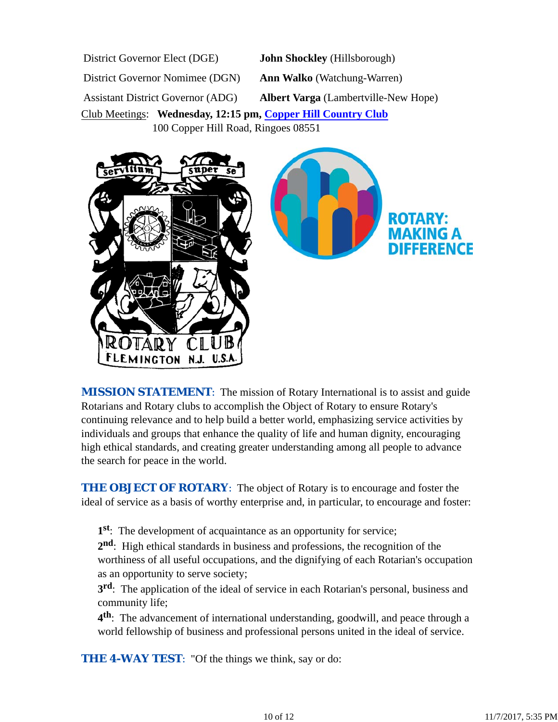District Governor Elect (DGE) **John Shockley** (Hillsborough) District Governor Nomimee (DGN) **Ann Walko** (Watchung-Warren) Assistant District Governor (ADG) **Albert Varga** (Lambertville-New Hope) Club Meetings: **Wednesday, 12:15 pm, Copper Hill Country Club** 100 Copper Hill Road, Ringoes 08551



*MISSION STATEMENT*: The mission of Rotary International is to assist and guide Rotarians and Rotary clubs to accomplish the Object of Rotary to ensure Rotary's continuing relevance and to help build a better world, emphasizing service activities by individuals and groups that enhance the quality of life and human dignity, encouraging high ethical standards, and creating greater understanding among all people to advance the search for peace in the world.

**THE OBJECT OF ROTARY:** The object of Rotary is to encourage and foster the ideal of service as a basis of worthy enterprise and, in particular, to encourage and foster:

**1st**: The development of acquaintance as an opportunity for service;

**2nd**: High ethical standards in business and professions, the recognition of the worthiness of all useful occupations, and the dignifying of each Rotarian's occupation as an opportunity to serve society;

**3rd**: The application of the ideal of service in each Rotarian's personal, business and community life;

**4th**: The advancement of international understanding, goodwill, and peace through a world fellowship of business and professional persons united in the ideal of service.

**THE 4-WAY TEST:** "Of the things we think, say or do: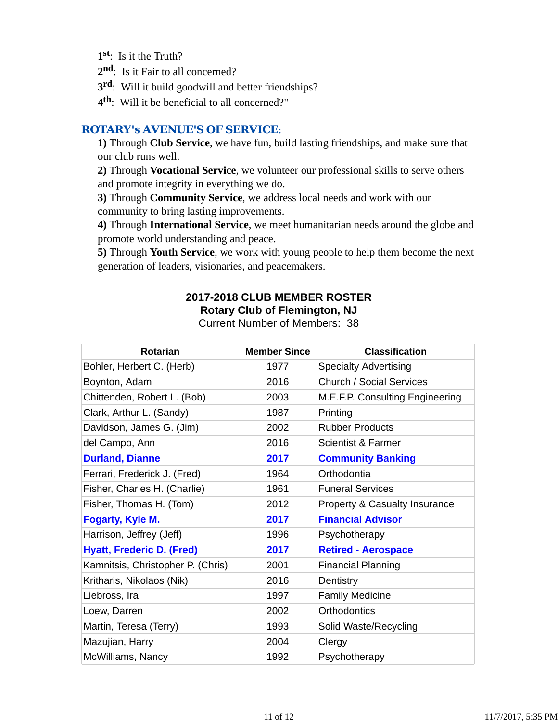- **1st**: Is it the Truth?
- 2<sup>nd</sup>: Is it Fair to all concerned?
- **3rd**: Will it build goodwill and better friendships?
- **4th**: Will it be beneficial to all concerned?"

## *ROTARY's AVENUE'S OF SERVICE*:

**1)** Through **Club Service**, we have fun, build lasting friendships, and make sure that our club runs well.

**2)** Through **Vocational Service**, we volunteer our professional skills to serve others and promote integrity in everything we do.

**3)** Through **Community Service**, we address local needs and work with our community to bring lasting improvements.

**4)** Through **International Service**, we meet humanitarian needs around the globe and promote world understanding and peace.

**5)** Through **Youth Service**, we work with young people to help them become the next generation of leaders, visionaries, and peacemakers.

# **2017-2018 CLUB MEMBER ROSTER Rotary Club of Flemington, NJ**

| Rotarian                          | <b>Member Since</b> | <b>Classification</b>           |
|-----------------------------------|---------------------|---------------------------------|
| Bohler, Herbert C. (Herb)         | 1977                | <b>Specialty Advertising</b>    |
| Boynton, Adam                     | 2016                | Church / Social Services        |
| Chittenden, Robert L. (Bob)       | 2003                | M.E.F.P. Consulting Engineering |
| Clark, Arthur L. (Sandy)          | 1987                | Printing                        |
| Davidson, James G. (Jim)          | 2002                | <b>Rubber Products</b>          |
| del Campo, Ann                    | 2016                | Scientist & Farmer              |
| <b>Durland, Dianne</b>            | 2017                | <b>Community Banking</b>        |
| Ferrari, Frederick J. (Fred)      | 1964                | Orthodontia                     |
| Fisher, Charles H. (Charlie)      | 1961                | <b>Funeral Services</b>         |
| Fisher, Thomas H. (Tom)           | 2012                | Property & Casualty Insurance   |
| <b>Fogarty, Kyle M.</b>           | 2017                | <b>Financial Advisor</b>        |
| Harrison, Jeffrey (Jeff)          | 1996                | Psychotherapy                   |
| <b>Hyatt, Frederic D. (Fred)</b>  | 2017                | <b>Retired - Aerospace</b>      |
| Kamnitsis, Christopher P. (Chris) | 2001                | <b>Financial Planning</b>       |
| Kritharis, Nikolaos (Nik)         | 2016                | Dentistry                       |
| Liebross, Ira                     | 1997                | <b>Family Medicine</b>          |
| Loew, Darren                      | 2002                | Orthodontics                    |
| Martin, Teresa (Terry)            | 1993                | Solid Waste/Recycling           |
| Mazujian, Harry                   | 2004                | Clergy                          |
| McWilliams, Nancy                 | 1992                | Psychotherapy                   |

Current Number of Members: 38